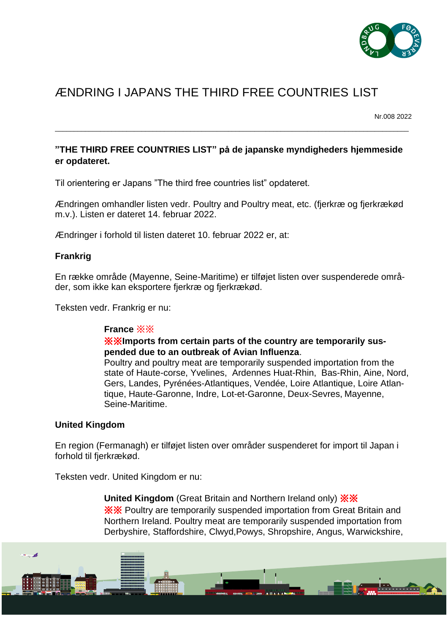

# ÆNDRING I JAPANS THE THIRD FREE COUNTRIES LIST

Nr.008 2022

## **"THE THIRD FREE COUNTRIES LIST" på de japanske myndigheders hjemmeside er opdateret.**

\_\_\_\_\_\_\_\_\_\_\_\_\_\_\_\_\_\_\_\_\_\_\_\_\_\_\_\_\_\_\_\_\_\_\_\_\_\_\_\_\_\_\_\_\_\_\_\_\_\_\_\_\_\_\_\_\_\_\_\_\_\_\_\_\_\_\_\_\_\_\_\_\_\_\_\_\_\_\_\_\_\_\_\_\_\_\_\_\_\_\_\_\_\_

Til orientering er Japans "The third free countries list" opdateret.

Ændringen omhandler listen vedr. Poultry and Poultry meat, etc. (fjerkræ og fjerkrækød m.v.). Listen er dateret 14. februar 2022.

Ændringer i forhold til listen dateret 10. februar 2022 er, at:

#### **Frankrig**

En række område (Mayenne, Seine-Maritime) er tilføjet listen over suspenderede områder, som ikke kan eksportere fjerkræ og fjerkrækød.

Teksten vedr. Frankrig er nu:

## **France** ※※

#### ※※**Imports from certain parts of the country are temporarily suspended due to an outbreak of Avian Influenza**.

Poultry and poultry meat are temporarily suspended importation from the state of Haute-corse, Yvelines, Ardennes Huat-Rhin, Bas-Rhin, Aine, Nord, Gers, Landes, Pyrénées-Atlantiques, Vendée, Loire Atlantique, Loire Atlantique, Haute-Garonne, Indre, Lot-et-Garonne, Deux-Sevres, Mayenne, Seine-Maritime.

#### **United Kingdom**

En region (Fermanagh) er tilføjet listen over områder suspenderet for import til Japan i forhold til fjerkrækød.

Teksten vedr. United Kingdom er nu:

**United Kingdom** (Great Britain and Northern Ireland only) ※※ ※※ Poultry are temporarily suspended importation from Great Britain and Northern Ireland. Poultry meat are temporarily suspended importation from Derbyshire, Staffordshire, Clwyd,Powys, Shropshire, Angus, Warwickshire,